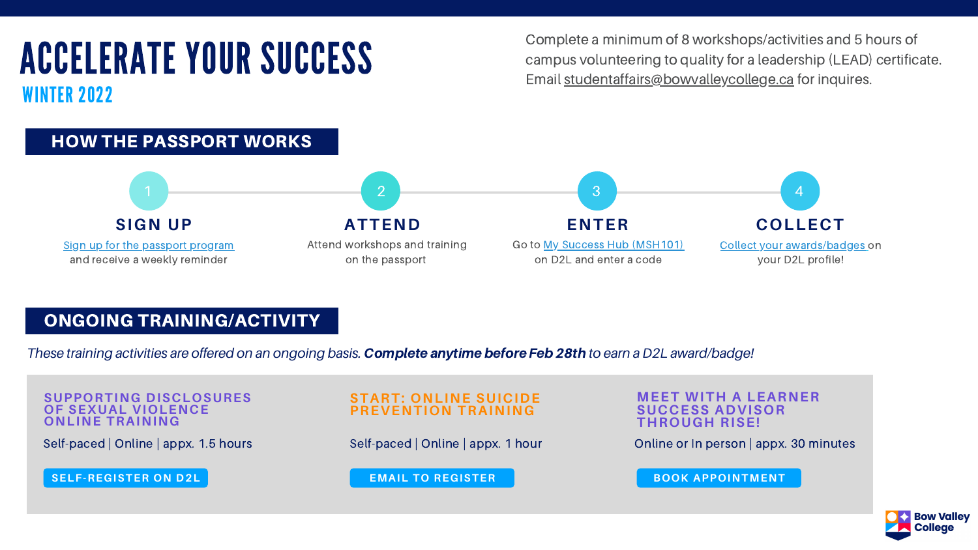Complete a minimum of 8 workshops/activities and 5 hours of campus volunteering to quality for a leadership (LEAD) certificate.

# EXATE YOUR SUCCESS<br>Email [studentaffairs@bowvalleycollege.ca](mailto:studentaffairs@bowvalleycollege.ca) for inquires. WINTER 2022



## ONGOING TRAINING/ACTIVITY

*These training activities are offered on an ongoing basis.* Complete anytimebefore Feb28th *to earn a D2L award/badge!*

Self-paced | Online | appx. 1.5 hours

**SUPPORTING DISCLOSURES OF SEXUAL VIOLENCE ONLINE TRAINING**

Self-paced | Online | appx. 1 hour

## **START: ONLINE SUICIDE PREVENTION TRAINING**

### **MEET WITH A LEARNER SUCCESS ADVISOR THROUGH RISE!**

Online or In person | appx. 30 minutes



**[SELF-REGISTER](https://bowvalleycollege.ca/-/media/bvc/student-resources/sexual-harassment-and-sexual-assault-support/documents/sdsv-student-training-registration-instructions-new.ashx?la=en&hash=070A0645049232E93288523A7EFBBA36B818995F) ON D2L EMAIL TO [REGISTER](mailto:counselling@bowvalleycollege.ca) BOOK [APPOINTMENT](https://outlook.office365.com/owa/calendar/BowValleyCollege1@bowvalleycollege.ca/bookings/s/sRjy68dhfUamb-b7JDU_cw2)**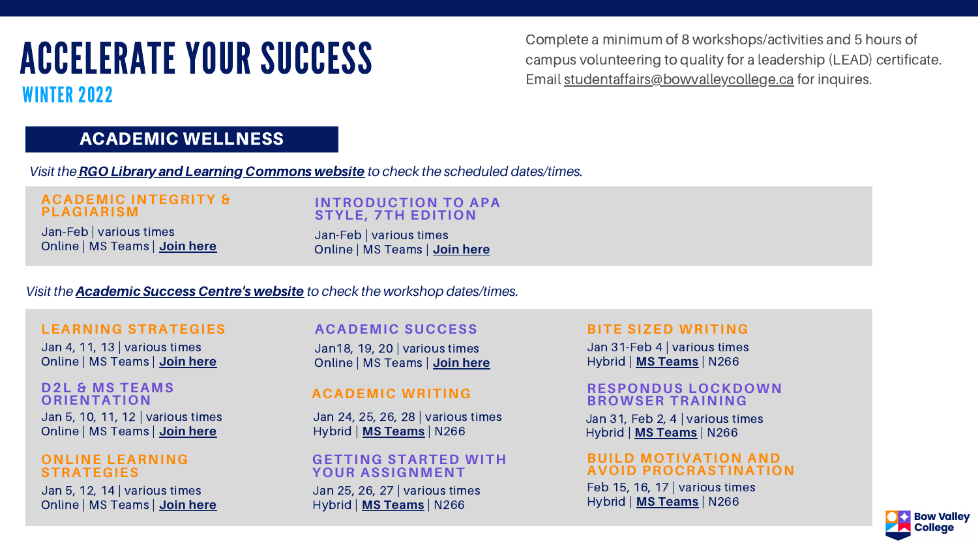# ACCELERATE YOUR SUCCESS WINTER 2022

## ACADEMIC WELLNESS

Complete a minimum of 8 workshops/activities and 5 hours of campus volunteering to quality for a leadership (LEAD) certificate. Email [studentaffairs@bowvalleycollege.ca](mailto:studentaffairs@bowvalleycollege.ca) for inquires.

*Visit the*RGO Library [andLearning](https://bowvalleycollege.libguides.com/c.php?g=719882) Commons website *to check the scheduled dates/times.*

Jan-Feb | various times Online | MS Teams | **Join [here](https://can01.safelinks.protection.outlook.com/ap/t-59584e83/?url=https%3A%2F%2Fteams.microsoft.com%2Fl%2Fmeetup-join%2F19%253ameeting_MGU3NTU4MmUtZDEwYi00MWM2LTk1MzgtNWM1MjlmYTczZDgy%2540thread.v2%2F0%3Fcontext%3D%257b%2522Tid%2522%253a%25228f11c6f4-648e-4c0c-bb99-96e8408a8e2a%2522%252c%2522Oid%2522%253a%252258b561b6-e722-4e31-baae-c772c6edad2b%2522%257d&data=04%7C01%7Chlee%40bowvalleycollege.ca%7Cfa789879f44042a5531e08d9c1a96193%7C8f11c6f4648e4c0cbb9996e8408a8e2a%7C0%7C0%7C637753755490646900%7CUnknown%7CTWFpbGZsb3d8eyJWIjoiMC4wLjAwMDAiLCJQIjoiV2luMzIiLCJBTiI6Ik1haWwiLCJXVCI6Mn0%3D%7C3000&sdata=9aL9f4mrAUPDN06CvxFF25yyMal8yvW%2B02ilTQpv4qU%3D&reserved=0)**

## **ACADEMIC INTEGRITY & PLAGIARISM**

Jan-Feb | various times Online | MS Teams | **Join [here](https://can01.safelinks.protection.outlook.com/ap/t-59584e83/?url=https%3A%2F%2Fteams.microsoft.com%2Fl%2Fmeetup-join%2F19%253ameeting_MGU3NTU4MmUtZDEwYi00MWM2LTk1MzgtNWM1MjlmYTczZDgy%2540thread.v2%2F0%3Fcontext%3D%257b%2522Tid%2522%253a%25228f11c6f4-648e-4c0c-bb99-96e8408a8e2a%2522%252c%2522Oid%2522%253a%252258b561b6-e722-4e31-baae-c772c6edad2b%2522%257d&data=04%7C01%7Chlee%40bowvalleycollege.ca%7Cfa789879f44042a5531e08d9c1a96193%7C8f11c6f4648e4c0cbb9996e8408a8e2a%7C0%7C0%7C637753755490646900%7CUnknown%7CTWFpbGZsb3d8eyJWIjoiMC4wLjAwMDAiLCJQIjoiV2luMzIiLCJBTiI6Ik1haWwiLCJXVCI6Mn0%3D%7C3000&sdata=9aL9f4mrAUPDN06CvxFF25yyMal8yvW%2B02ilTQpv4qU%3D&reserved=0)**

## **INTRODUCTION TO APA STYLE, 7TH EDITION**

 $31,$  Feb 2, 4 | various times Hybrid | **MS [Teams](https://teams.microsoft.com/l/meetup-join/19%3ameeting_NzQ5Y2M5NDItNzcyMi00Zjc3LTgwMWYtNTUwNDJmNWMxZDcx%40thread.v2/0?context=%7b%22Tid%22%3a%228f11c6f4-648e-4c0c-bb99-96e8408a8e2a%22%2c%22Oid%22%3a%22a551dbda-567f-4e14-9550-8d299b782334%22%7d)** | N266 **RESPONDUS LOCKDOWN BROWSER TRAINING**

 $31$ -Feb 4 | various times Hybrid | **MS [Teams](https://teams.microsoft.com/l/meetup-join/19%3ameeting_NzQ5Y2M5NDItNzcyMi00Zjc3LTgwMWYtNTUwNDJmNWMxZDcx%40thread.v2/0?context=%7b%22Tid%22%3a%228f11c6f4-648e-4c0c-bb99-96e8408a8e2a%22%2c%22Oid%22%3a%22a551dbda-567f-4e14-9550-8d299b782334%22%7d)** | N266

| <b>ACADEMIC SUCCESS</b>            | <b>BIT</b>               |
|------------------------------------|--------------------------|
| Jan 18, 19, 20   various times     | Jan:                     |
| Online   MS Teams   Join here      | Hybr                     |
| <b>ACADEMIC WRITING</b>            | <b>RES</b><br><b>BRC</b> |
| Jan 24, 25, 26, 28   various times | Jan 3                    |
| Hybrid   MS Teams   N266           | <b>Hybr</b>              |
| <b>GETTING STARTED WITH</b>        | <b>BUI</b>               |
| <b>YOUR ASSIGNMENT</b>             | <b>AVC</b>               |

Jan 25, 26, 27 | various times Hybrid | **MS [Teams](https://teams.microsoft.com/l/meetup-join/19%3ameeting_NzQ5Y2M5NDItNzcyMi00Zjc3LTgwMWYtNTUwNDJmNWMxZDcx%40thread.v2/0?context=%7b%22Tid%22%3a%228f11c6f4-648e-4c0c-bb99-96e8408a8e2a%22%2c%22Oid%22%3a%22a551dbda-567f-4e14-9550-8d299b782334%22%7d)** | N266

## *Visit the* [Academic](https://bowvalleycollege.ca/student-resources/academic-services/academic-success-centre/workshops) Success Centre's website *to check the workshop dates/times.*

Jan 5, 10, 11, 12 | various times Online | MS Teams | **Join [here](https://teams.microsoft.com/l/meetup-join/19%3ameeting_NzQ5Y2M5NDItNzcyMi00Zjc3LTgwMWYtNTUwNDJmNWMxZDcx%40thread.v2/0?context=%7b%22Tid%22%3a%228f11c6f4-648e-4c0c-bb99-96e8408a8e2a%22%2c%22Oid%22%3a%22a551dbda-567f-4e14-9550-8d299b782334%22%7d) D2L & MS TEAMS ORIENTATION**

Jan 5, 12, 14 | various times Online | MS Teams | **Join [here](https://teams.microsoft.com/l/meetup-join/19%3ameeting_NzQ5Y2M5NDItNzcyMi00Zjc3LTgwMWYtNTUwNDJmNWMxZDcx%40thread.v2/0?context=%7b%22Tid%22%3a%228f11c6f4-648e-4c0c-bb99-96e8408a8e2a%22%2c%22Oid%22%3a%22a551dbda-567f-4e14-9550-8d299b782334%22%7d)**

## **ONLINE LEARNING STRATEGIES**

Jan 4, 11, 13 | various times Online | MS Teams | **Join [here](https://teams.microsoft.com/l/meetup-join/19%3ameeting_NzQ5Y2M5NDItNzcyMi00Zjc3LTgwMWYtNTUwNDJmNWMxZDcx%40thread.v2/0?context=%7b%22Tid%22%3a%228f11c6f4-648e-4c0c-bb99-96e8408a8e2a%22%2c%22Oid%22%3a%22a551dbda-567f-4e14-9550-8d299b782334%22%7d)**

## **LEARNING STRATEGIES**

## **BITE SIZED WRITING**

Feb 15, 16, 17 | various times Hybrid | **MS [Teams](https://teams.microsoft.com/l/meetup-join/19%3ameeting_NzQ5Y2M5NDItNzcyMi00Zjc3LTgwMWYtNTUwNDJmNWMxZDcx%40thread.v2/0?context=%7b%22Tid%22%3a%228f11c6f4-648e-4c0c-bb99-96e8408a8e2a%22%2c%22Oid%22%3a%22a551dbda-567f-4e14-9550-8d299b782334%22%7d)** | N266



## **BUILD MOTIVATION AND AVOID PROCRASTINATION**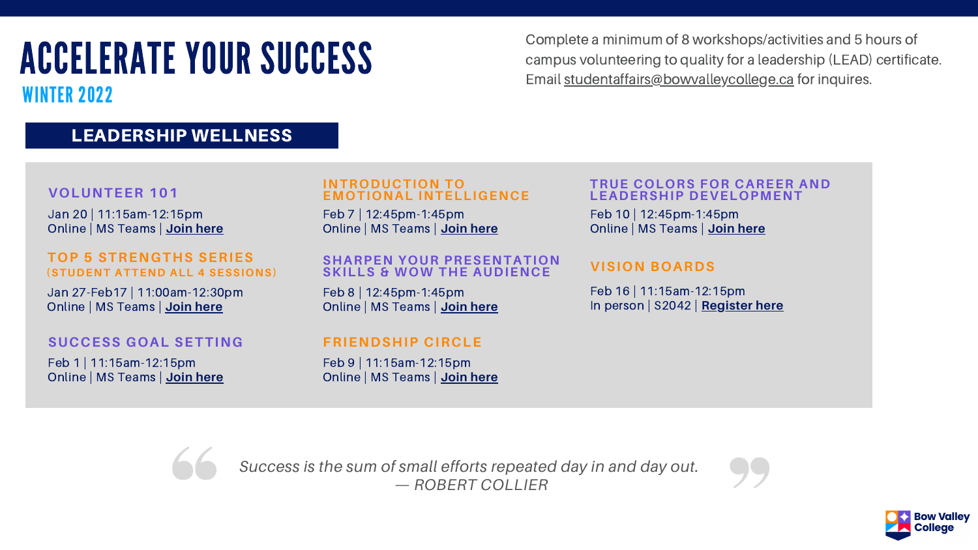WINTER 2022

Complete a minimum of 8 workshops/activities and 5 hours of campus volunteering to quality for a leadership (LEAD) certificate. Email [studentaffairs@bowvalleycollege.ca](mailto:studentaffairs@bowvalleycollege.ca) for inquires.

## LEADERSHIP WELLNESS

## **VOLUNTEER 101**

Jan 20 | 11:15am-12:15pm Online | MS Teams | **[Join here](https://can01.safelinks.protection.outlook.com/ap/t-59584e83/?url=https%3A%2F%2Fteams.microsoft.com%2Fl%2Fmeetup-join%2F19%253ameeting_MTQ5ZDVlNmQtYzdkYi00MTQwLTlhYTMtZTFhNjIxYzkzNGNm%2540thread.v2%2F0%3Fcontext%3D%257b%2522Tid%2522%253a%25228f11c6f4-648e-4c0c-bb99-96e8408a8e2a%2522%252c%2522Oid%2522%253a%25225775462b-583d-4a57-a295-232f73f4afce%2522%257d&data=04%7C01%7Chlee%40bowvalleycollege.ca%7Cba76d0e9e4b548b6962808d9ba5bdd9b%7C8f11c6f4648e4c0cbb9996e8408a8e2a%7C0%7C0%7C637745725981743946%7CUnknown%7CTWFpbGZsb3d8eyJWIjoiMC4wLjAwMDAiLCJQIjoiV2luMzIiLCJBTiI6Ik1haWwiLCJXVCI6Mn0%3D%7C3000&sdata=uJJE0NhcHaCQUfSZes%2BIvotDcuAsuZXDZsmxriFb51Y%3D&reserved=0)**

## **TOP 5 STRENGTHS SERIES (STUDENT ATTEND ALL 4 SESSIONS)**

Feb 9 | 11:15am-12:15pm Online | MS Teams | **[Join here](https://can01.safelinks.protection.outlook.com/ap/t-59584e83/?url=https%3A%2F%2Fteams.microsoft.com%2Fl%2Fmeetup-join%2F19%253ameeting_Yjg2MTg2MmMtYjUxYS00ODI5LTg1NTAtZTAwN2FmMjM2MTE1%2540thread.v2%2F0%3Fcontext%3D%257b%2522Tid%2522%253a%25228f11c6f4-648e-4c0c-bb99-96e8408a8e2a%2522%252c%2522Oid%2522%253a%252255c0b2ee-851e-4764-900c-9427a0bf41da%2522%257d&data=04%7C01%7Chlee%40bowvalleycollege.ca%7C738c7bcb4c2743845ddd08d9adf5cd19%7C8f11c6f4648e4c0cbb9996e8408a8e2a%7C0%7C0%7C637732093486674343%7CUnknown%7CTWFpbGZsb3d8eyJWIjoiMC4wLjAwMDAiLCJQIjoiV2luMzIiLCJBTiI6Ik1haWwiLCJXVCI6Mn0%3D%7C3000&sdata=G7yPcFH%2FLXJ6A8h%2BWOIkF1utGnhZ%2Ffgib97rc%2FqQ3Gw%3D&reserved=0)**



Feb 1 | 11:15am-12:15pm Online | MS Teams | **[Join here](https://can01.safelinks.protection.outlook.com/ap/t-59584e83/?url=https%3A%2F%2Fteams.microsoft.com%2Fl%2Fmeetup-join%2F19%253ameeting_Y2NhNzkyNGMtNjVlZi00MzM3LThlNTYtZmM1ODg4MmU4ZTYy%2540thread.v2%2F0%3Fcontext%3D%257b%2522Tid%2522%253a%25228f11c6f4-648e-4c0c-bb99-96e8408a8e2a%2522%252c%2522Oid%2522%253a%25223b3efcb3-48e8-42cb-81ff-8a0b9befe8a0%2522%257d&data=04%7C01%7Chlee%40bowvalleycollege.ca%7Ca778edf70c3345f4b76008d9b9d53ca4%7C8f11c6f4648e4c0cbb9996e8408a8e2a%7C0%7C0%7C637745147756260334%7CUnknown%7CTWFpbGZsb3d8eyJWIjoiMC4wLjAwMDAiLCJQIjoiV2luMzIiLCJBTiI6Ik1haWwiLCJXVCI6Mn0%3D%7C3000&sdata=QGvOD93lAPEzKaigsqGyDSNd4mLwk7JC4G0p30DFCsU%3D&reserved=0)**

## **INTRODUCTION TO E M O T I O N A L I N T E L L I G E N C E**

## **S U C C E S S G O A L S E T T I N G**

Feb 10 | 12:45pm-1:45pm Online | MS Teams | **[Join here](https://teams.microsoft.com/l/meetup-join/19%3ameeting_OWYxMzBhN2QtYTRjNy00ZWJiLTg2YWQtM2FmZmM0NGRmMzdh%40thread.v2/0?context=%7b%22Tid%22%3a%228f11c6f4-648e-4c0c-bb99-96e8408a8e2a%22%2c%22Oid%22%3a%22689ea581-b332-4f86-9a11-4e78dd606f28%22%7d)**

## **VISION BOARDS**

Feb 8 | 12:45pm-1:45pm Online | MS Teams | **[Join here](https://teams.microsoft.com/l/meetup-join/19%3ameeting_NTdiYTNhMzMtYmQ1Yy00NGQwLTgxOTAtNTZmMzM1NDk0YzI4%40thread.v2/0?context=%7b%22Tid%22%3a%228f11c6f4-648e-4c0c-bb99-96e8408a8e2a%22%2c%22Oid%22%3a%22689ea581-b332-4f86-9a11-4e78dd606f28%22%7d)**

## **FRIENDSHIP CIRCLE**

Jan 27-Feb17 | 11:00am-12:30pm Online | MS Teams | **[Join here](https://can01.safelinks.protection.outlook.com/ap/t-59584e83/?url=https%3A%2F%2Fteams.microsoft.com%2Fl%2Fmeetup-join%2F19%253ameeting_YzY2ZDk3ZjUtYTVkOS00MmZmLWJlMzctODAwMmNmM2MxMjIw%2540thread.v2%2F0%3Fcontext%3D%257b%2522Tid%2522%253a%25228f11c6f4-648e-4c0c-bb99-96e8408a8e2a%2522%252c%2522Oid%2522%253a%25223b3efcb3-48e8-42cb-81ff-8a0b9befe8a0%2522%257d&data=04%7C01%7Chlee%40bowvalleycollege.ca%7C0fb41c5df0314ce2c73808d9b9d61aa2%7C8f11c6f4648e4c0cbb9996e8408a8e2a%7C0%7C0%7C637745151491663306%7CUnknown%7CTWFpbGZsb3d8eyJWIjoiMC4wLjAwMDAiLCJQIjoiV2luMzIiLCJBTiI6Ik1haWwiLCJXVCI6Mn0%3D%7C3000&sdata=d15CmrVZ4vw9AcrZZIdpc%2FxasmKHw%2Bp3xHzWXvWkRmA%3D&reserved=0)**

> *Success is the sum of small efforts repeated day in and day out. — ROBERT COLLIER*

## **TRUE COLORS FOR CAREER AND** L **E A D E R S H I P D E V E L O P M E N T**

Feb 7 | 12:45pm-1:45pm Online | MS Teams | **[Join here](https://can01.safelinks.protection.outlook.com/ap/t-59584e83/?url=https%3A%2F%2Fteams.microsoft.com%2Fl%2Fmeetup-join%2F19%253ameeting_YmM3ZTVhMDUtMDllZC00YWE4LWFmNmYtOTY2NjM2NTMxNWY0%2540thread.v2%2F0%3Fcontext%3D%257b%2522Tid%2522%253a%25228f11c6f4-648e-4c0c-bb99-96e8408a8e2a%2522%252c%2522Oid%2522%253a%2522557aedd1-9b0b-41ce-a58b-0e77391383a6%2522%257d&data=04%7C01%7Chlee%40bowvalleycollege.ca%7C52e8f56a09e74612fbce08d9b9c519e9%7C8f11c6f4648e4c0cbb9996e8408a8e2a%7C0%7C0%7C637745078453476044%7CUnknown%7CTWFpbGZsb3d8eyJWIjoiMC4wLjAwMDAiLCJQIjoiV2luMzIiLCJBTiI6Ik1haWwiLCJXVCI6Mn0%3D%7C3000&sdata=aaiIhqJVp0xhj5GN3MYFoAuhoTGSoX2Jy4HsMrvbiGQ%3D&reserved=0)**

## **SHARPEN YOUR PRESENTATION SKILLS & WOW THE AUDIENCE**

Feb 16 | 11:15am-12:15pm In person | S2042 | **[Register here](mailto:aokafor@bowvalleycollege.ca)**



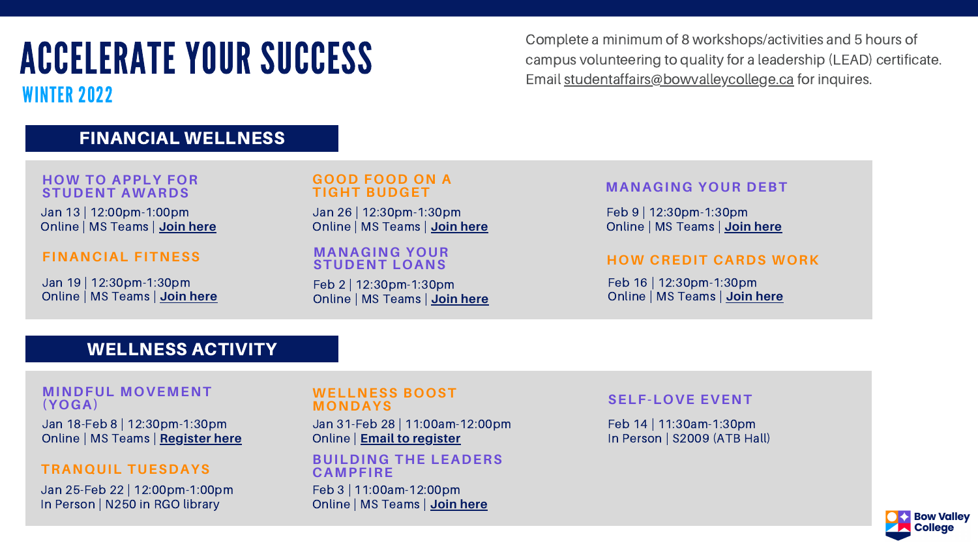WINTER 2022

## FINANCIAL WELLNESS

Complete a minimum of 8 workshops/activities and 5 hours of campus volunteering to quality for a leadership (LEAD) certificate. Email [studentaffairs@bowvalleycollege.ca](mailto:studentaffairs@bowvalleycollege.ca) for inquires.

Jan 19 | 12:30pm-1:30pm Online | MS Teams | **Join [here](https://teams.microsoft.com/l/meetup-join/19%3ameeting_ODZkODNkYWUtOWFkMS00MWQ4LWI2MjMtYmE3YWU5Yjk4NDZm%40thread.v2/0?context=%7b%22Tid%22%3a%228f11c6f4-648e-4c0c-bb99-96e8408a8e2a%22%2c%22Oid%22%3a%223c4788c4-2af4-446c-bb32-31efdb9d504f%22%7d)**

## **FINANCIAL FITNESS**

Jan 13 | 12:00pm-1:00pm Online | MS Teams | **Join [here](https://teams.microsoft.com/l/meetup-join/19%3ameeting_NzhkYzZmNjEtYzE4Ny00NWYyLTlmY2QtNGFjN2Y4YTFlYWVk%40thread.v2/0?context=%7b%22Tid%22%3a%228f11c6f4-648e-4c0c-bb99-96e8408a8e2a%22%2c%22Oid%22%3a%2256b7c3c6-585f-4be0-9d31-b2f0afdc0959%22%7d)**

## **HOW TO APPLY FOR STUDENT AWARDS**

Jan 25-Feb 22 | 12:00pm-1:00pm In Person | N250 in RGO library

Jan 26 | 12:30pm-1:30pm Online | MS Teams | **Join [here](https://teams.microsoft.com/l/meetup-join/19%3ameeting_N2Y0MzExNjMtOTViNS00MDZkLWJjMGYtOTg2NTAwM2JhMDQ0%40thread.v2/0?context=%7b%22Tid%22%3a%228f11c6f4-648e-4c0c-bb99-96e8408a8e2a%22%2c%22Oid%22%3a%223c4788c4-2af4-446c-bb32-31efdb9d504f%22%7d)**

## **GOOD FOOD ON A TIGHT BUDGET**

Feb 2 | 12:30pm-1:30pm Online | MS Teams | **Join [here](https://teams.microsoft.com/l/meetup-join/19%3ameeting_ZGM5NWYzYWItYzMxNi00NTBiLWIzMGUtZWFhMjdiNTljYzE5%40thread.v2/0?context=%7b%22Tid%22%3a%228f11c6f4-648e-4c0c-bb99-96e8408a8e2a%22%2c%22Oid%22%3a%223c4788c4-2af4-446c-bb32-31efdb9d504f%22%7d)**

## **MANAGING YOUR STUDENT LOANS**

Feb 16 | 12:30pm-1:30pm Online | MS Teams | **Join [here](https://teams.microsoft.com/l/meetup-join/19%3ameeting_ZjUyZTI4ODYtMjlmMy00NmM5LWEzZjQtNzFlOTk2YTFkN2Fl%40thread.v2/0?context=%7b%22Tid%22%3a%228f11c6f4-648e-4c0c-bb99-96e8408a8e2a%22%2c%22Oid%22%3a%223c4788c4-2af4-446c-bb32-31efdb9d504f%22%7d)**

## **HOW CREDIT CARDS WORK**

## **MANAGING YOUR DEBT**

Feb 9 | 12:30pm-1:30pm Online | MS Teams | **Join [here](https://teams.microsoft.com/l/meetup-join/19%3ameeting_ZTY5M2JlM2MtM2ZjYi00OGVlLTg0ZmEtN2EzOGM5NTE5NzY0%40thread.v2/0?context=%7b%22Tid%22%3a%228f11c6f4-648e-4c0c-bb99-96e8408a8e2a%22%2c%22Oid%22%3a%223c4788c4-2af4-446c-bb32-31efdb9d504f%22%7d)**

## WELLNESS ACTIVITY

Jan 31-Feb 28 | 11:00am-12:00pm Online | **Email to [register](mailto:asanchez@bowvalleycollege.ca)**

## **WELLNESS BOOST MONDAYS**

## **TRANQUIL TUESDAYS**

Feb 14 | 11:30am-1:30pm In Person | S2009 (ATB Hall)



## **SELF-LOVE EVENT**

Jan 18-Feb 8 | 12:30pm-1:30pm Online | MS Teams | **[Register](https://forms.office.com/r/G1HUSjU7M9) here**

## **MINDFUL MOVEMENT (YOGA)**

Feb 3 | 11:00am-12:00pm Online | MS Teams | **Join [here](https://teams.microsoft.com/l/meetup-join/19%3ameeting_ZDFhYWM1NGEtNTVmMS00YWQ4LTgxYjUtNjhkNDFjODkwOWFj%40thread.v2/0?context=%7b%22Tid%22%3a%228f11c6f4-648e-4c0c-bb99-96e8408a8e2a%22%2c%22Oid%22%3a%22f2142afa-a2fe-4850-bc78-7b818296b81f%22%7d)**

## **BUILDING THE LEADERS CAMPFIRE**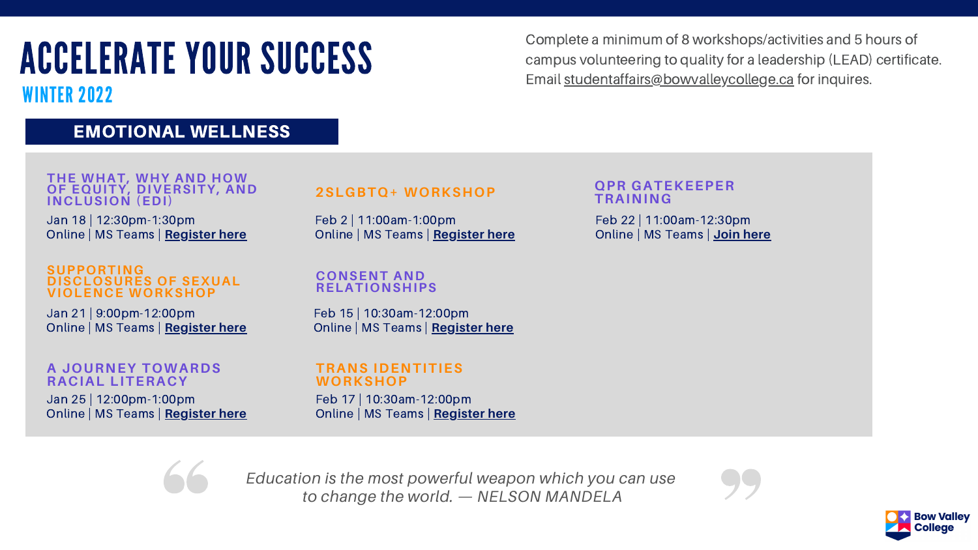WINTER 2022

Complete a minimum of 8 workshops/activities and 5 hours of campus volunteering to quality for a leadership (LEAD) certificate. Email [studentaffairs@bowvalleycollege.ca](mailto:studentaffairs@bowvalleycollege.ca) for inquires.

## EMOTIONAL WELLNESS

Jan 18 | 12:30pm-1:30pm Online | MS Teams | **[Register](https://www.cvent.com/d/t8qpn0) here**

**THE WHAT, WHY AND HOW OF EQUITY, DIVERSITY, AND INCLUSION (EDI)**

> Feb 2 | 11:00am-1:00pm Online | MS Teams | **[Register](https://forms.office.com/r/haj3xdgHFH) here**

## **2SLGBTQ+ WORKSHOP**

Jan 21 | 9:00pm-12:00pm Online | MS Teams | **[Register](https://forms.office.com/r/ctQE46E0dZ) here**

## **SUPPORTING DISCLOSURES OF SEXUAL VIOLENCE WORKSHOP**

**CONSENT AND RELATIONSHIPS**

## **TRANS IDENTITIES WORKSHOP**

Jan 25 | 12:00pm-1:00pm Online | MS Teams | **[Register](https://www.cvent.com/d/38qpn2) here**

## **A JOURNEY TOWARDS RACIAL LITERACY**

Feb 15 | 10:30am-12:00pm Online | MS Teams | **[Register](https://forms.office.com/r/AuzutX6ah3) here**

Feb 17 | 10:30am-12:00pm Online | MS Teams | **[Register](https://forms.office.com/r/LrRuALyBhN) here**



Feb 22 | 11:00am-12:30pm Online | MS Teams | **Join [here](https://teams.microsoft.com/l/meetup-join/19%3ameeting_YjVkNzhlM2YtMGZmMS00Y2VjLWEyMTItOTJmNzc1MjBiZmZl%40thread.v2/0?context=%7b%22Tid%22%3a%228f11c6f4-648e-4c0c-bb99-96e8408a8e2a%22%2c%22Oid%22%3a%22689ea581-b332-4f86-9a11-4e78dd606f28%22%7d)**





## **QPR GATEKEEPER TRAINING**

*Education is the most powerful weapon which you can use to change the world. — NELSON MANDELA*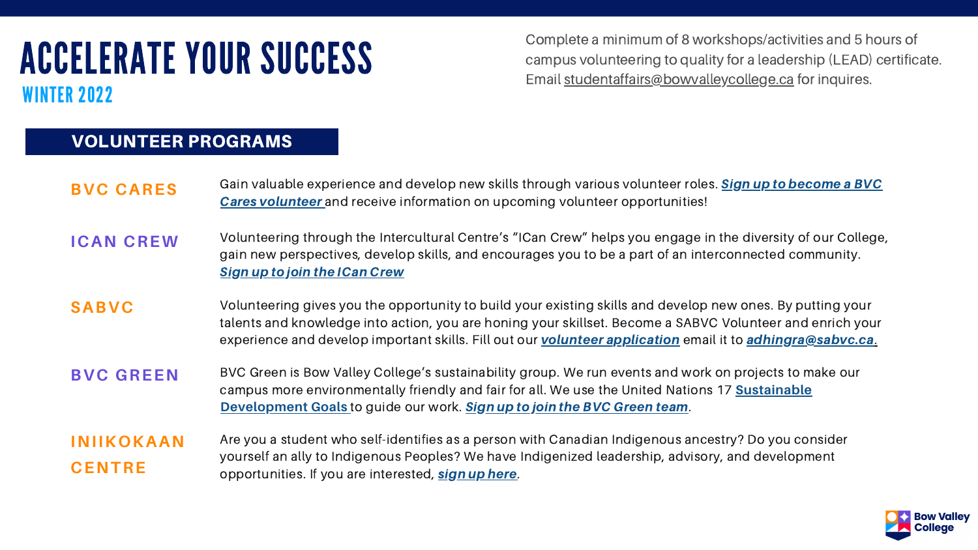# ACCELERATE YOUR SUCCESS WINTER 2022

| <b>BVC CARES</b>                   | Gain valuable experience and develop new skills through variou<br><b>Cares volunteer</b> and receive information on upcoming voluntee                                                                            |
|------------------------------------|------------------------------------------------------------------------------------------------------------------------------------------------------------------------------------------------------------------|
| <b>ICAN CREW</b>                   | Volunteering through the Intercultural Centre's "ICan Crew" help<br>gain new perspectives, develop skills, and encourages you to be<br><b>Sign up to join the ICan Crew</b>                                      |
| <b>SABVC</b>                       | Volunteering gives you the opportunity to build your existing sk<br>talents and knowledge into action, you are honing your skillset.<br>experience and develop important skills. Fill out our <b>volunteer a</b> |
| <b>BVC GREEN</b>                   | BVC Green is Bow Valley College's sustainability group. We run<br>campus more environmentally friendly and fair for all. We use the<br><b>Development Goals</b> to guide our work. Sign up to join the BVC       |
| <b>INIIKOKAAN</b><br><b>CENTRE</b> | Are you a student who self-identifies as a person with Canadian<br>yourself an ally to Indigenous Peoples? We have Indigenized lea<br>opportunities. If you are interested, sign up here.                        |

is volunteer roles. Sign up to [become](https://bowvalley.wufoo.com/forms/mo106qo0zh9zzz/) a BVC **Cares voluntes** information on

ps you engage in the diversity of our College, e a part of an interconnected community.

**Saab Seabs** volutions and develop new ones. By putting your Become a SABVC Volunteer and enrich your pplication email it to [adhingra@sabvc.ca](mailto:adhingra@sabvc.ca).

**BUCA BUCA BIGCAL BUCA** BOW BOW AND FOR EVEN IS Also we rewrolled a get a sustainable work and work our events and work on projects to make our e United Nations 17 **[Sustainable](https://sdgs.un.org/goals) [Green](https://forms.office.com/Pages/ResponsePage.aspx?id=9MYRj45kDEy7mZboQIqOKrOoL-D_bEhNg1PsN2Hoq-RUM0VTUlJLSjNXTFdYM1haRUlOQzJGRzRQWS4u) team.** 

Indigenous ancestry? Do you consider adership, advisory, and development



## VOLUNTEER PROGRAMS

Complete a minimum of 8 workshops/activities and 5 hours of campus volunteering to quality for a leadership (LEAD) certificate. Email [studentaffairs@bowvalleycollege.ca](mailto:studentaffairs@bowvalleycollege.ca) for inquires.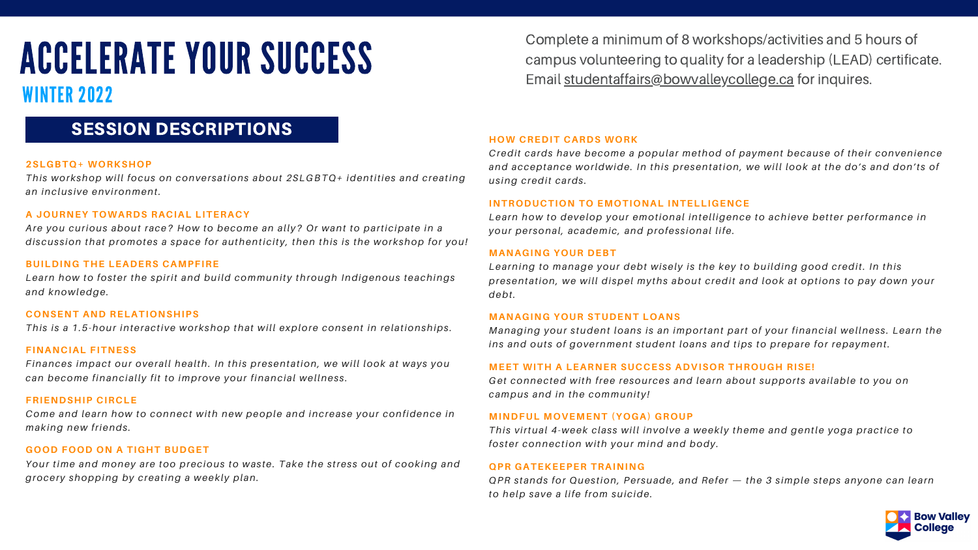## WINTER 2022

## SESSION DESCRIPTIONS

## **2SLGBTQ+ WORKSHOP**

*Thi s workshop will focus on conver sations about 2SLGBTQ+ identities and creating an inclus ive environment.*

## **A JOURNEY TOWARDS RACIAL LITERACY**

*Are you curious about race? How to become an ally? Or want to participate in a di scus s ion that promotes a space for authenticity, then thi s i s the workshop for you!*

## **BUILDING THE LEADERS CAMPFIRE**

*Learn how to fos ter the spirit and build community through Indigenous teachings and knowledge.*

## **CONSENT AND RELATIONSHIPS**

*Thi s i s a 1.5-hour interactive workshop that will explore consent in relationships .*

## **FINANCIAL FITNESS**

*Finances impact our overall health. In thi s presentation, we will look at ways you can become financially fit to improve your financial wellnes s .*

## **FRIENDSHIP CIRCLE**

*Come and learn how to connect with new people and increase your confidence in making new friends .*

## **GOOD FOOD ON A TIGHT BUDGET**

*Your time and money are too precious to was te. Take the s tres s out of cooking and grocery shopping by creating a weekly plan.*

## **HOW CREDIT CARDS WORK**

*Credit cards have become a popular method of payment because of their convenience and acceptance worldwide. In thi s presentation, we will look at the do' s and don't s of us ing credit cards .*

## **INTRODUCTION TO EMOTIONAL INTELLIGENCE**

*Learn how to develop your emotional intelligence to achieve better performance in your per sonal, academic, and profes s ional life.*

### **MANAGING YOUR DEBT**

*Learning to manage your debt wi sely i s the key to building good credit. In thi s presentation, we will di spel myths about credit and look at options to pay down your debt.*

## **MANAGING YOUR STUDENT LOANS**

*Managing your s tudent loans i s an important part of your financial wellnes s . Learn the ins and out s of government s tudent loans and tips to prepare for repayment.*

## **MEET WITH A LEARNER SUCCESS ADVISOR THROUGH [RISE!](https://bowvalleycollege.ca/student-resources/student-life/rise-program)**

*Get connected with free resources and learn about support s available to you on campus and in the community!*

**MINDFUL MOVEMENT (YOGA) GROUP** *Thi s virtual 4-week clas s will involve a weekly theme and gentle yoga practice to fos ter connection with your mind and body.*

**QPR GATEKEEPER TRAINING** QPR stands for Question, Persuade, and Refer - the 3 simple steps anyone can learn *to help save a life from suicide.*



Complete a minimum of 8 workshops/activities and 5 hours of campus volunteering to quality for a leadership (LEAD) certificate. Email [studentaffairs@bowvalleycollege.ca](mailto:studentaffairs@bowvalleycollege.ca) for inquires.